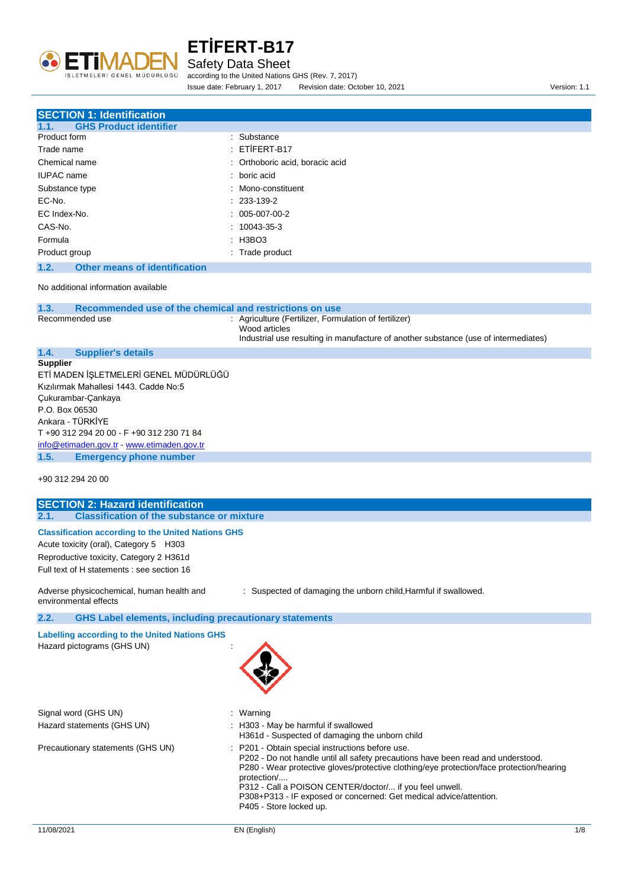

#### Safety Data Sheet

according to the United Nations GHS (Rev. 7, 2017) Issue date: February 1, 2017 Revision date: October 10, 2021 Version: 1.1

| <b>SECTION 1: Identification</b>                                |                                                                                                                                                               |
|-----------------------------------------------------------------|---------------------------------------------------------------------------------------------------------------------------------------------------------------|
| <b>GHS Product identifier</b><br>1.1.                           |                                                                                                                                                               |
| Product form                                                    | : Substance                                                                                                                                                   |
| Trade name                                                      | $:$ ETIFERT-B17                                                                                                                                               |
| Chemical name                                                   | : Orthoboric acid, boracic acid                                                                                                                               |
| <b>IUPAC</b> name                                               | $:$ boric acid                                                                                                                                                |
| Substance type                                                  | Mono-constituent<br>÷                                                                                                                                         |
| EC-No.                                                          | $: 233 - 139 - 2$                                                                                                                                             |
| EC Index-No.                                                    | $: 005-007-00-2$                                                                                                                                              |
| CAS-No.                                                         | $: 10043 - 35 - 3$                                                                                                                                            |
| Formula                                                         | : H3BO3                                                                                                                                                       |
| Product group                                                   | : Trade product                                                                                                                                               |
| <b>Other means of identification</b><br>1.2.                    |                                                                                                                                                               |
| No additional information available                             |                                                                                                                                                               |
| Recommended use of the chemical and restrictions on use<br>1.3. |                                                                                                                                                               |
| Recommended use                                                 | : Agriculture (Fertilizer, Formulation of fertilizer)<br>Wood articles<br>Industrial use resulting in manufacture of another substance (use of intermediates) |
| <b>Supplier's details</b><br>1.4.                               |                                                                                                                                                               |

#### **1.4. Supplier's details Supplier**

ETİ MADEN İŞLETMELERİ GENEL MÜDÜRLÜĞÜ Kızılırmak Mahallesi 1443. Cadde No:5 Çukurambar-Çankaya P.O. Box 06530 Ankara - TÜRKİYE T +90 312 294 20 00 - F +90 312 230 71 84 [info@etimaden.gov.tr](mailto:info@etimaden.gov.tr) - [www.etimaden.gov.tr](http://www.etimaden.gov.tr/) **1.5. Emergency phone number**

+90 312 294 20 00

| <b>SECTION 2: Hazard identification</b>                                                                                                                                                      |                                                                                                                                                                                                                                                                                                                                                                                                             |
|----------------------------------------------------------------------------------------------------------------------------------------------------------------------------------------------|-------------------------------------------------------------------------------------------------------------------------------------------------------------------------------------------------------------------------------------------------------------------------------------------------------------------------------------------------------------------------------------------------------------|
| 2.1.<br><b>Classification of the substance or mixture</b>                                                                                                                                    |                                                                                                                                                                                                                                                                                                                                                                                                             |
| <b>Classification according to the United Nations GHS</b><br>Acute toxicity (oral), Category 5 H303<br>Reproductive toxicity, Category 2 H361d<br>Full text of H statements : see section 16 |                                                                                                                                                                                                                                                                                                                                                                                                             |
| Adverse physicochemical, human health and<br>environmental effects                                                                                                                           | : Suspected of damaging the unborn child, Harmful if swallowed.                                                                                                                                                                                                                                                                                                                                             |
| 2.2.<br><b>GHS Label elements, including precautionary statements</b>                                                                                                                        |                                                                                                                                                                                                                                                                                                                                                                                                             |
| <b>Labelling according to the United Nations GHS</b><br>Hazard pictograms (GHS UN)                                                                                                           |                                                                                                                                                                                                                                                                                                                                                                                                             |
| Signal word (GHS UN)                                                                                                                                                                         | : Warning                                                                                                                                                                                                                                                                                                                                                                                                   |
| Hazard statements (GHS UN)                                                                                                                                                                   | : H303 - May be harmful if swallowed<br>H361d - Suspected of damaging the unborn child                                                                                                                                                                                                                                                                                                                      |
| Precautionary statements (GHS UN)                                                                                                                                                            | : P201 - Obtain special instructions before use.<br>P202 - Do not handle until all safety precautions have been read and understood.<br>P280 - Wear protective gloves/protective clothing/eye protection/face protection/hearing<br>protection/<br>P312 - Call a POISON CENTER/doctor/ if you feel unwell.<br>P308+P313 - IF exposed or concerned: Get medical advice/attention.<br>P405 - Store locked up. |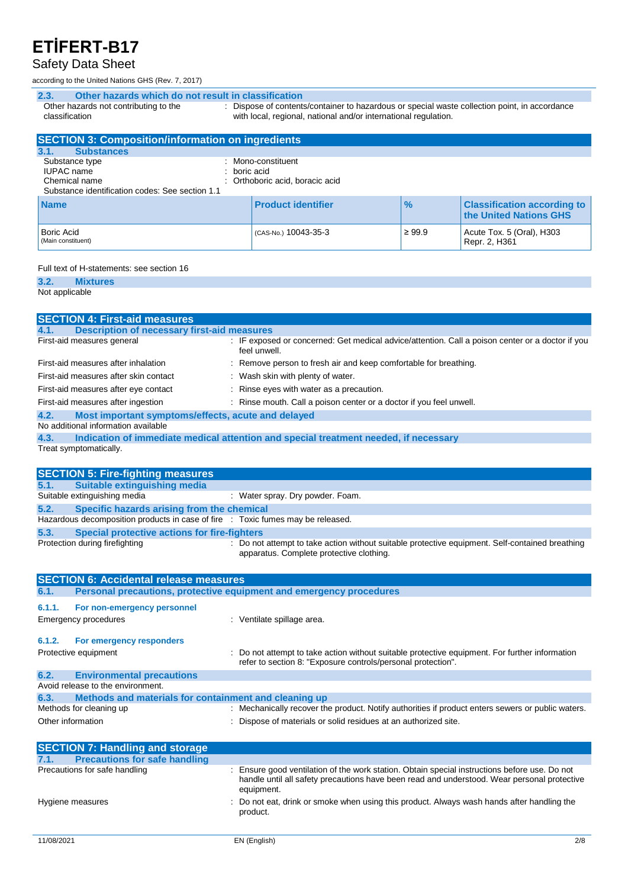### Safety Data Sheet

according to the United Nations GHS (Rev. 7, 2017)

| Other hazards which do not result in classification<br>2.3. |                |                                                                                                                                                                  |               |                                                              |
|-------------------------------------------------------------|----------------|------------------------------------------------------------------------------------------------------------------------------------------------------------------|---------------|--------------------------------------------------------------|
| Other hazards not contributing to the<br>classification     |                | : Dispose of contents/container to hazardous or special waste collection point, in accordance<br>with local, regional, national and/or international regulation. |               |                                                              |
| <b>SECTION 3: Composition/information on ingredients</b>    |                |                                                                                                                                                                  |               |                                                              |
| <b>Substances</b><br>3.1.                                   |                |                                                                                                                                                                  |               |                                                              |
| Substance type                                              |                | : Mono-constituent                                                                                                                                               |               |                                                              |
| <b>IUPAC</b> name                                           | $:$ boric acid |                                                                                                                                                                  |               |                                                              |
| Chemical name                                               |                | : Orthoboric acid, boracic acid                                                                                                                                  |               |                                                              |
| Substance identification codes: See section 1.1             |                |                                                                                                                                                                  |               |                                                              |
| <b>Name</b>                                                 |                | <b>Product identifier</b>                                                                                                                                        | $\frac{9}{6}$ | <b>Classification according to</b><br>the United Nations GHS |

(CAS-No.) 10043-35-3  $\vert$  ≥ 99.9  $\vert$  Acute Tox. 5 (Oral), H303

Repr. 2, H361

#### Full text of H-statements: see section 16

**3.2. Mixtures**

Not applicable

Boric Acid (Main constituent)

| <b>SECTION 4: First-aid measures</b>                                            |                                                                                                                                             |
|---------------------------------------------------------------------------------|---------------------------------------------------------------------------------------------------------------------------------------------|
| <b>Description of necessary first-aid measures</b><br>4.1.                      |                                                                                                                                             |
| First-aid measures general                                                      | : IF exposed or concerned: Get medical advice/attention. Call a poison center or a doctor if you<br>feel unwell.                            |
| First-aid measures after inhalation                                             | : Remove person to fresh air and keep comfortable for breathing.                                                                            |
| First-aid measures after skin contact                                           | : Wash skin with plenty of water.                                                                                                           |
| First-aid measures after eye contact                                            | : Rinse eyes with water as a precaution.                                                                                                    |
| First-aid measures after ingestion                                              | : Rinse mouth. Call a poison center or a doctor if you feel unwell.                                                                         |
| 4.2.<br>Most important symptoms/effects, acute and delayed                      |                                                                                                                                             |
| No additional information available                                             |                                                                                                                                             |
| 4.3.                                                                            | Indication of immediate medical attention and special treatment needed, if necessary                                                        |
| Treat symptomatically.                                                          |                                                                                                                                             |
|                                                                                 |                                                                                                                                             |
| <b>SECTION 5: Fire-fighting measures</b>                                        |                                                                                                                                             |
| <b>Suitable extinguishing media</b><br>5.1.                                     |                                                                                                                                             |
| Suitable extinguishing media                                                    | : Water spray. Dry powder. Foam.                                                                                                            |
| Specific hazards arising from the chemical<br>5.2.                              |                                                                                                                                             |
| Hazardous decomposition products in case of fire : Toxic fumes may be released. |                                                                                                                                             |
| 5.3.<br><b>Special protective actions for fire-fighters</b>                     |                                                                                                                                             |
| Protection during firefighting                                                  | : Do not attempt to take action without suitable protective equipment. Self-contained breathing<br>apparatus. Complete protective clothing. |
| <b>SECTION 6: Accidental release measures</b>                                   |                                                                                                                                             |

| 6.1.                                   | <b>Personal precautions, protective equipment and emergency procedures</b> |                                                                                                                                                                |  |
|----------------------------------------|----------------------------------------------------------------------------|----------------------------------------------------------------------------------------------------------------------------------------------------------------|--|
| 6.1.1.                                 | For non-emergency personnel<br>Emergency procedures                        | : Ventilate spillage area.                                                                                                                                     |  |
| 6.1.2.                                 | For emergency responders                                                   |                                                                                                                                                                |  |
|                                        | Protective equipment                                                       | : Do not attempt to take action without suitable protective equipment. For further information<br>refer to section 8: "Exposure controls/personal protection". |  |
| 6.2.                                   | <b>Environmental precautions</b>                                           |                                                                                                                                                                |  |
|                                        | Avoid release to the environment.                                          |                                                                                                                                                                |  |
| 6.3.                                   | Methods and materials for containment and cleaning up                      |                                                                                                                                                                |  |
|                                        | Methods for cleaning up                                                    | : Mechanically recover the product. Notify authorities if product enters sewers or public waters.                                                              |  |
| Other information                      |                                                                            | : Dispose of materials or solid residues at an authorized site.                                                                                                |  |
| <b>SECTION 7: Handling and storage</b> |                                                                            |                                                                                                                                                                |  |

| <b>SECTION 7: Handling and storage</b>       |                                                                                                                                                                                                          |
|----------------------------------------------|----------------------------------------------------------------------------------------------------------------------------------------------------------------------------------------------------------|
| <b>Precautions for safe handling</b><br>7.1. |                                                                                                                                                                                                          |
| Precautions for safe handling                | Ensure good ventilation of the work station. Obtain special instructions before use. Do not<br>handle until all safety precautions have been read and understood. Wear personal protective<br>equipment. |
| Hygiene measures                             | : Do not eat, drink or smoke when using this product. Always wash hands after handling the<br>product.                                                                                                   |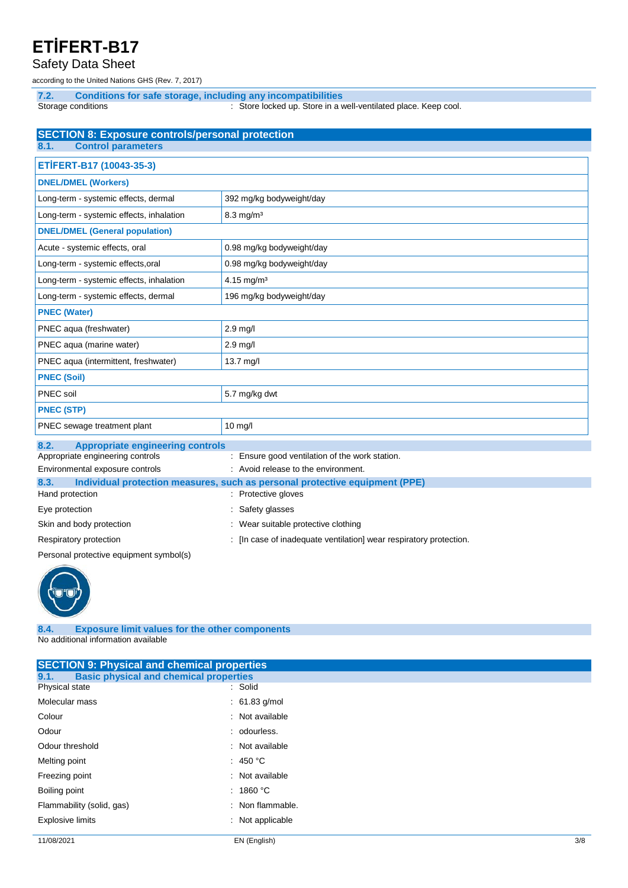Safety Data Sheet

according to the United Nations GHS (Rev. 7, 2017)

**7.2. Conditions for safe storage, including any incompatibilities** Storage conditions **in the state of the Conduct Conduct Conduct** Store In a well-ventilated place. Keep cool.

| <b>SECTION 8: Exposure controls/personal protection</b> |                                                                             |  |  |
|---------------------------------------------------------|-----------------------------------------------------------------------------|--|--|
| <b>Control parameters</b><br>8.1.                       |                                                                             |  |  |
| ETİFERT-B17 (10043-35-3)                                |                                                                             |  |  |
| <b>DNEL/DMEL (Workers)</b>                              |                                                                             |  |  |
| Long-term - systemic effects, dermal                    | 392 mg/kg bodyweight/day                                                    |  |  |
| Long-term - systemic effects, inhalation                | $8.3$ mg/m <sup>3</sup>                                                     |  |  |
| <b>DNEL/DMEL (General population)</b>                   |                                                                             |  |  |
| Acute - systemic effects, oral                          | 0.98 mg/kg bodyweight/day                                                   |  |  |
| Long-term - systemic effects, oral                      | 0.98 mg/kg bodyweight/day                                                   |  |  |
| Long-term - systemic effects, inhalation                | 4.15 mg/m <sup>3</sup>                                                      |  |  |
| Long-term - systemic effects, dermal                    | 196 mg/kg bodyweight/day                                                    |  |  |
| <b>PNEC (Water)</b>                                     |                                                                             |  |  |
| PNEC aqua (freshwater)                                  | $2.9$ mg/l                                                                  |  |  |
| PNEC aqua (marine water)                                | $2.9$ mg/l                                                                  |  |  |
| PNEC aqua (intermittent, freshwater)                    | 13.7 mg/l                                                                   |  |  |
| <b>PNEC (Soil)</b>                                      |                                                                             |  |  |
| PNEC soil                                               | 5.7 mg/kg dwt                                                               |  |  |
| <b>PNEC (STP)</b>                                       |                                                                             |  |  |
| PNEC sewage treatment plant                             | $10$ mg/l                                                                   |  |  |
| 8.2.<br><b>Appropriate engineering controls</b>         |                                                                             |  |  |
| Appropriate engineering controls                        | : Ensure good ventilation of the work station.                              |  |  |
| Environmental exposure controls                         | : Avoid release to the environment.                                         |  |  |
| 8.3.                                                    | Individual protection measures, such as personal protective equipment (PPE) |  |  |
| Hand protection                                         | Protective gloves                                                           |  |  |
| Eye protection                                          | Safety glasses                                                              |  |  |
| Skin and body protection                                | Wear suitable protective clothing                                           |  |  |
| Respiratory protection                                  | [In case of inadequate ventilation] wear respiratory protection.            |  |  |

Personal protective equipment symbol(s)



**8.4. Exposure limit values for the other components** No additional information available

| <b>SECTION 9: Physical and chemical properties</b>    |                    |  |  |
|-------------------------------------------------------|--------------------|--|--|
| <b>Basic physical and chemical properties</b><br>9.1. |                    |  |  |
| Physical state                                        | : Solid            |  |  |
| Molecular mass                                        | $: 61.83$ g/mol    |  |  |
| Colour                                                | : Not available    |  |  |
| Odour                                                 | : odourless.       |  |  |
| Odour threshold                                       | : Not available    |  |  |
| Melting point                                         | : 450 $^{\circ}$ C |  |  |
| Freezing point                                        | : Not available    |  |  |
| Boiling point                                         | : 1860 °C          |  |  |
| Flammability (solid, gas)                             | : Non flammable.   |  |  |
| <b>Explosive limits</b>                               | : Not applicable   |  |  |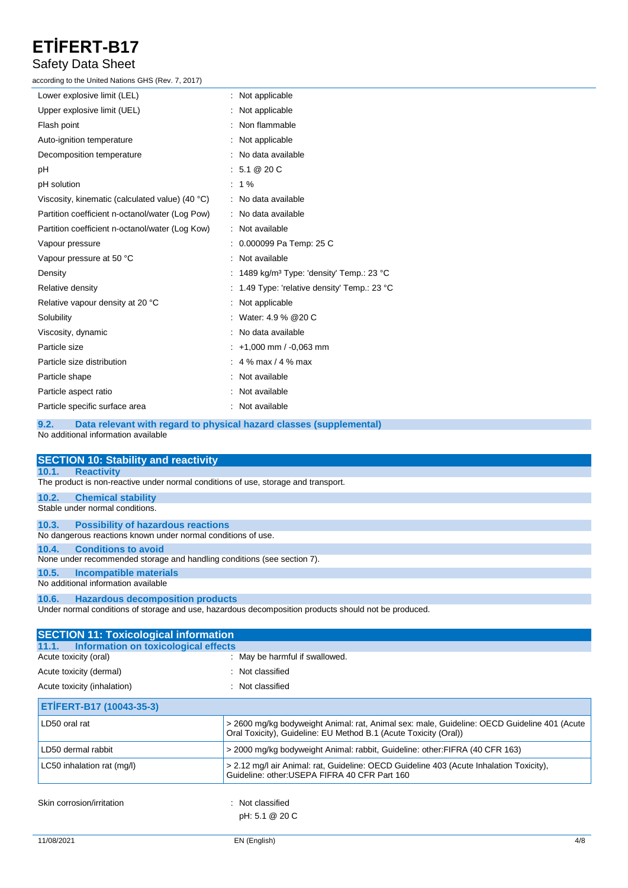### Safety Data Sheet

according to the United Nations GHS (Rev. 7, 2017)

| Lower explosive limit (LEL)                     | : Not applicable                                       |
|-------------------------------------------------|--------------------------------------------------------|
| Upper explosive limit (UEL)                     | : Not applicable                                       |
| Flash point                                     | : Non flammable                                        |
| Auto-ignition temperature                       | : Not applicable                                       |
| Decomposition temperature                       | : No data available                                    |
| рH                                              | : 5.1 @ 20 C                                           |
| pH solution                                     | $: 1\%$                                                |
| Viscosity, kinematic (calculated value) (40 °C) | : No data available                                    |
| Partition coefficient n-octanol/water (Log Pow) | : No data available                                    |
| Partition coefficient n-octanol/water (Log Kow) | : Not available                                        |
| Vapour pressure                                 | : 0.000099 Pa Temp: 25 C                               |
| Vapour pressure at 50 °C                        | : Not available                                        |
| Density                                         | : 1489 kg/m <sup>3</sup> Type: 'density' Temp.: 23 °C  |
| Relative density                                | : 1.49 Type: 'relative density' Temp.: 23 $^{\circ}$ C |
| Relative vapour density at 20 °C                | : Not applicable                                       |
| Solubility                                      | : Water: 4.9 % @ 20 C                                  |
| Viscosity, dynamic                              | : No data available                                    |
| Particle size                                   | $: +1,000$ mm $/ -0,063$ mm                            |
| Particle size distribution                      | : 4 % max / 4 % max                                    |
| Particle shape                                  | : Not available                                        |
| Particle aspect ratio                           | Not available                                          |
| Particle specific surface area                  | Not available                                          |
|                                                 |                                                        |

**9.2. Data relevant with regard to physical hazard classes (supplemental)** No additional information available

| <b>SECTION 10: Stability and reactivity</b>                                                          |  |  |  |
|------------------------------------------------------------------------------------------------------|--|--|--|
| <b>Reactivity</b><br>10.1.                                                                           |  |  |  |
| The product is non-reactive under normal conditions of use, storage and transport.                   |  |  |  |
| 10.2.<br><b>Chemical stability</b>                                                                   |  |  |  |
| Stable under normal conditions.                                                                      |  |  |  |
| <b>Possibility of hazardous reactions</b><br>10.3.                                                   |  |  |  |
| No dangerous reactions known under normal conditions of use.                                         |  |  |  |
| <b>Conditions to avoid</b><br>10.4.                                                                  |  |  |  |
| None under recommended storage and handling conditions (see section 7).                              |  |  |  |
| Incompatible materials<br>10.5.                                                                      |  |  |  |
| No additional information available                                                                  |  |  |  |
| 10.6. Hazardous decomposition products                                                               |  |  |  |
| Under normal conditions of storage and use, hazardous decomposition products should not be produced. |  |  |  |

| <b>SECTION 11: Toxicological information</b>  |                                                                                                                                                                 |
|-----------------------------------------------|-----------------------------------------------------------------------------------------------------------------------------------------------------------------|
| Information on toxicological effects<br>11.1. |                                                                                                                                                                 |
| Acute toxicity (oral)                         | : May be harmful if swallowed.                                                                                                                                  |
| Acute toxicity (dermal)                       | : Not classified                                                                                                                                                |
| Acute toxicity (inhalation)                   | : Not classified                                                                                                                                                |
| ETİFERT-B17 (10043-35-3)                      |                                                                                                                                                                 |
| LD50 oral rat                                 | > 2600 mg/kg bodyweight Animal: rat, Animal sex: male, Guideline: OECD Guideline 401 (Acute<br>Oral Toxicity), Guideline: EU Method B.1 (Acute Toxicity (Oral)) |
| LD50 dermal rabbit                            | > 2000 mg/kg bodyweight Animal: rabbit, Guideline: other: FIFRA (40 CFR 163)                                                                                    |
| LC50 inhalation rat (mg/l)                    | > 2.12 mg/l air Animal: rat, Guideline: OECD Guideline 403 (Acute Inhalation Toxicity),<br>Guideline: other: USEPA FIFRA 40 CFR Part 160                        |
| Skin corrosion/irritation                     | : Not classified<br>pH: 5.1 @ 20 C                                                                                                                              |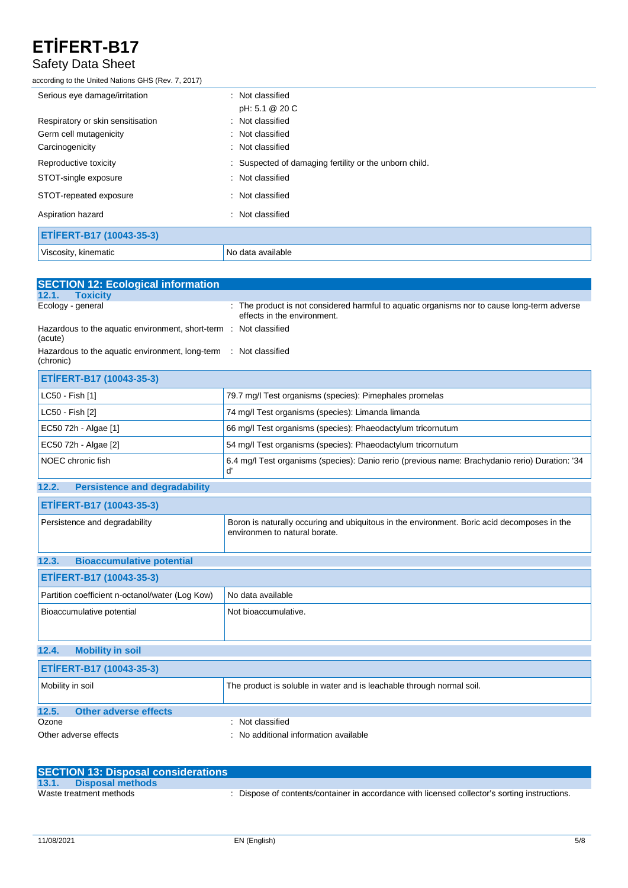### Safety Data Sheet

according to the United Nations GHS (Rev. 7, 2017)

| Serious eye damage/irritation     | : Not classified                                       |
|-----------------------------------|--------------------------------------------------------|
|                                   | pH: 5.1 @ 20 C                                         |
| Respiratory or skin sensitisation | : Not classified                                       |
| Germ cell mutagenicity            | : Not classified                                       |
| Carcinogenicity                   | : Not classified                                       |
| Reproductive toxicity             | : Suspected of damaging fertility or the unborn child. |
| STOT-single exposure              | : Not classified                                       |
| STOT-repeated exposure            | : Not classified                                       |
| Aspiration hazard                 | : Not classified                                       |
| ETİFERT-B17 (10043-35-3)          |                                                        |
| Viscosity, kinematic              | No data available                                      |

| <b>SECTION 12: Ecological information</b>                                           |                                                                                                                              |
|-------------------------------------------------------------------------------------|------------------------------------------------------------------------------------------------------------------------------|
| <b>Toxicity</b><br>12.1.                                                            |                                                                                                                              |
| Ecology - general                                                                   | : The product is not considered harmful to aquatic organisms nor to cause long-term adverse<br>effects in the environment.   |
| Hazardous to the aquatic environment, short-term : Not classified<br>(acute)        |                                                                                                                              |
| Hazardous to the aquatic environment, long-term : Not classified<br>(chronic)       |                                                                                                                              |
| ETİFERT-B17 (10043-35-3)                                                            |                                                                                                                              |
| LC50 - Fish [1]                                                                     | 79.7 mg/l Test organisms (species): Pimephales promelas                                                                      |
| LC50 - Fish [2]                                                                     | 74 mg/l Test organisms (species): Limanda limanda                                                                            |
| 66 mg/l Test organisms (species): Phaeodactylum tricornutum<br>EC50 72h - Algae [1] |                                                                                                                              |
| EC50 72h - Algae [2]                                                                | 54 mg/l Test organisms (species): Phaeodactylum tricornutum                                                                  |
| NOEC chronic fish                                                                   | 6.4 mg/l Test organisms (species): Danio rerio (previous name: Brachydanio rerio) Duration: '34<br>ď                         |
| <b>Persistence and degradability</b><br>12.2.                                       |                                                                                                                              |
| ETİFERT-B17 (10043-35-3)                                                            |                                                                                                                              |
| Persistence and degradability                                                       | Boron is naturally occuring and ubiquitous in the environment. Boric acid decomposes in the<br>environmen to natural borate. |
| 12.3.<br><b>Bioaccumulative potential</b>                                           |                                                                                                                              |
| ETİFERT-B17 (10043-35-3)                                                            |                                                                                                                              |
| Partition coefficient n-octanol/water (Log Kow)                                     | No data available                                                                                                            |
| Bioaccumulative potential                                                           | Not bioaccumulative.                                                                                                         |
| <b>Mobility in soil</b><br>12.4.                                                    |                                                                                                                              |
| ETİFERT-B17 (10043-35-3)                                                            |                                                                                                                              |
| Mobility in soil                                                                    | The product is soluble in water and is leachable through normal soil.                                                        |
| 12.5.<br><b>Other adverse effects</b>                                               |                                                                                                                              |
| Ozone                                                                               | Not classified                                                                                                               |
| No additional information available<br>Other adverse effects                        |                                                                                                                              |

| <b>SECTION 13: Disposal considerations</b> |                                                                                             |
|--------------------------------------------|---------------------------------------------------------------------------------------------|
| 13.1.<br>Disposal methods                  |                                                                                             |
| Waste treatment methods                    | Dispose of contents/container in accordance with licensed collector's sorting instructions. |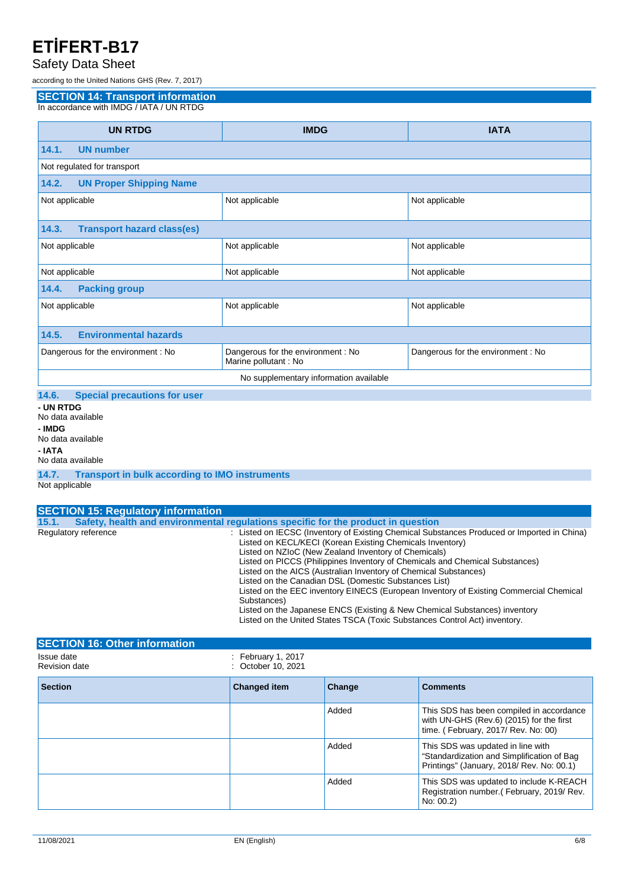### Safety Data Sheet

according to the United Nations GHS (Rev. 7, 2017)

**SECTION 14: Transport information**

In accordance with IMDG / IATA / UN RTDG

| <b>UN RTDG</b>                                                | <b>IMDG</b>                                                 | <b>IATA</b>                        |  |
|---------------------------------------------------------------|-------------------------------------------------------------|------------------------------------|--|
| <b>UN number</b><br>14.1.                                     |                                                             |                                    |  |
| Not regulated for transport                                   |                                                             |                                    |  |
| 14.2.<br><b>UN Proper Shipping Name</b>                       |                                                             |                                    |  |
| Not applicable                                                | Not applicable                                              | Not applicable                     |  |
| 14.3.<br><b>Transport hazard class(es)</b>                    |                                                             |                                    |  |
| Not applicable                                                | Not applicable                                              | Not applicable                     |  |
| Not applicable                                                | Not applicable                                              | Not applicable                     |  |
| <b>Packing group</b><br>14.4.                                 |                                                             |                                    |  |
| Not applicable                                                | Not applicable                                              | Not applicable                     |  |
| <b>Environmental hazards</b><br>14.5.                         |                                                             |                                    |  |
| Dangerous for the environment : No                            | Dangerous for the environment : No<br>Marine pollutant : No | Dangerous for the environment : No |  |
| No supplementary information available                        |                                                             |                                    |  |
| <b>Special precautions for user</b><br>14.6.                  |                                                             |                                    |  |
| - UN RTDG<br>No data available<br>- IMDG<br>No data available |                                                             |                                    |  |

**- IATA**

#### No data available

**14.7. Transport in bulk according to IMO instruments**

|  | Not applicable |  |
|--|----------------|--|
|--|----------------|--|

|       | <b>SECTION 15: Regulatory information</b> |                                                                                                                                                                                                                                                                                                                                                                                                                                                                                                                                                                                                                                                                                                    |
|-------|-------------------------------------------|----------------------------------------------------------------------------------------------------------------------------------------------------------------------------------------------------------------------------------------------------------------------------------------------------------------------------------------------------------------------------------------------------------------------------------------------------------------------------------------------------------------------------------------------------------------------------------------------------------------------------------------------------------------------------------------------------|
| 15.1. |                                           | Safety, health and environmental requiations specific for the product in question                                                                                                                                                                                                                                                                                                                                                                                                                                                                                                                                                                                                                  |
|       | Regulatory reference                      | : Listed on IECSC (Inventory of Existing Chemical Substances Produced or Imported in China)<br>Listed on KECL/KECI (Korean Existing Chemicals Inventory)<br>Listed on NZIoC (New Zealand Inventory of Chemicals)<br>Listed on PICCS (Philippines Inventory of Chemicals and Chemical Substances)<br>Listed on the AICS (Australian Inventory of Chemical Substances)<br>Listed on the Canadian DSL (Domestic Substances List)<br>Listed on the EEC inventory EINECS (European Inventory of Existing Commercial Chemical<br>Substances)<br>Listed on the Japanese ENCS (Existing & New Chemical Substances) inventory<br>Listed on the United States TSCA (Toxic Substances Control Act) inventory. |
|       |                                           |                                                                                                                                                                                                                                                                                                                                                                                                                                                                                                                                                                                                                                                                                                    |

| <b>SECTION 16: Other information</b> |                                                     |        |                                                                                                                              |
|--------------------------------------|-----------------------------------------------------|--------|------------------------------------------------------------------------------------------------------------------------------|
| Issue date<br><b>Revision date</b>   | $\therefore$ February 1, 2017<br>: October 10, 2021 |        |                                                                                                                              |
| <b>Section</b>                       | <b>Changed item</b>                                 | Change | <b>Comments</b>                                                                                                              |
|                                      |                                                     | Added  | This SDS has been compiled in accordance<br>with UN-GHS (Rev.6) (2015) for the first<br>time. (February, 2017/ Rev. No: 00)  |
|                                      |                                                     | Added  | This SDS was updated in line with<br>"Standardization and Simplification of Bag<br>Printings" (January, 2018/ Rev. No: 00.1) |
|                                      |                                                     | Added  | This SDS was updated to include K-REACH<br>Registration number. (February, 2019/Rev.<br>No: 00.2)                            |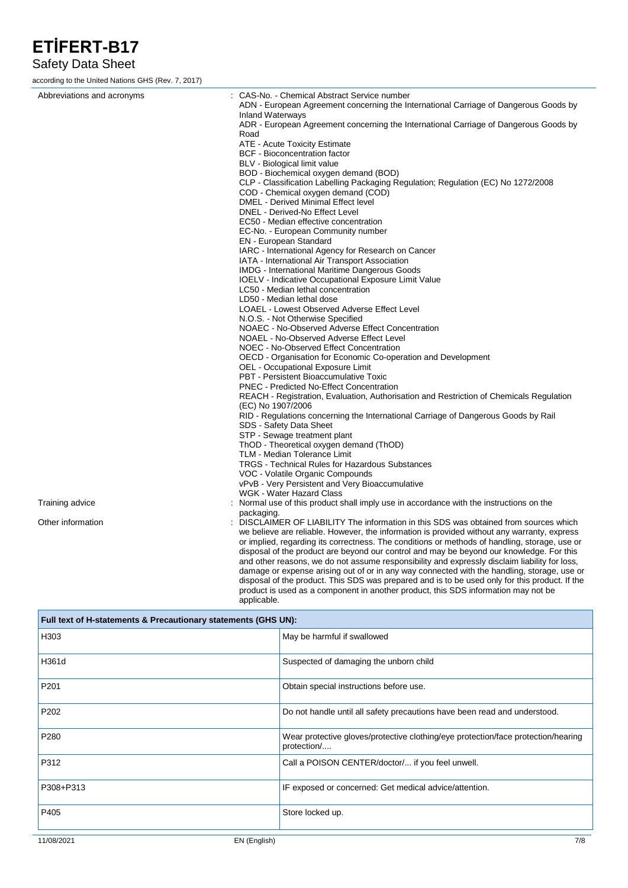### Safety Data Sheet

according to the United Nations GHS (Rev. 7, 2017)

| Abbreviations and acronyms | : CAS-No. - Chemical Abstract Service number                                                                    |
|----------------------------|-----------------------------------------------------------------------------------------------------------------|
|                            | ADN - European Agreement concerning the International Carriage of Dangerous Goods by                            |
|                            | <b>Inland Waterways</b><br>ADR - European Agreement concerning the International Carriage of Dangerous Goods by |
|                            | Road                                                                                                            |
|                            | ATE - Acute Toxicity Estimate                                                                                   |
|                            | <b>BCF</b> - Bioconcentration factor                                                                            |
|                            | BLV - Biological limit value                                                                                    |
|                            | BOD - Biochemical oxygen demand (BOD)                                                                           |
|                            | CLP - Classification Labelling Packaging Regulation; Regulation (EC) No 1272/2008                               |
|                            | COD - Chemical oxygen demand (COD)                                                                              |
|                            | DMEL - Derived Minimal Effect level                                                                             |
|                            | DNEL - Derived-No Effect Level                                                                                  |
|                            | EC50 - Median effective concentration                                                                           |
|                            | EC-No. - European Community number                                                                              |
|                            | <b>EN</b> - European Standard                                                                                   |
|                            | IARC - International Agency for Research on Cancer                                                              |
|                            | IATA - International Air Transport Association                                                                  |
|                            | <b>IMDG</b> - International Maritime Dangerous Goods                                                            |
|                            | IOELV - Indicative Occupational Exposure Limit Value                                                            |
|                            | LC50 - Median lethal concentration                                                                              |
|                            | LD50 - Median lethal dose                                                                                       |
|                            | LOAEL - Lowest Observed Adverse Effect Level                                                                    |
|                            | N.O.S. - Not Otherwise Specified                                                                                |
|                            | NOAEC - No-Observed Adverse Effect Concentration                                                                |
|                            | NOAEL - No-Observed Adverse Effect Level                                                                        |
|                            | NOEC - No-Observed Effect Concentration                                                                         |
|                            | OECD - Organisation for Economic Co-operation and Development                                                   |
|                            | <b>OEL - Occupational Exposure Limit</b>                                                                        |
|                            | PBT - Persistent Bioaccumulative Toxic                                                                          |
|                            | <b>PNEC - Predicted No-Effect Concentration</b>                                                                 |
|                            | REACH - Registration, Evaluation, Authorisation and Restriction of Chemicals Regulation                         |
|                            | (EC) No 1907/2006<br>RID - Regulations concerning the International Carriage of Dangerous Goods by Rail         |
|                            | SDS - Safety Data Sheet                                                                                         |
|                            | STP - Sewage treatment plant                                                                                    |
|                            | ThOD - Theoretical oxygen demand (ThOD)                                                                         |
|                            | TLM - Median Tolerance Limit                                                                                    |
|                            | <b>TRGS - Technical Rules for Hazardous Substances</b>                                                          |
|                            | VOC - Volatile Organic Compounds                                                                                |
|                            | vPvB - Very Persistent and Very Bioaccumulative                                                                 |
|                            | WGK - Water Hazard Class                                                                                        |
| Training advice            | : Normal use of this product shall imply use in accordance with the instructions on the                         |
|                            | packaging.                                                                                                      |
| Other information          | : DISCLAIMER OF LIABILITY The information in this SDS was obtained from sources which                           |
|                            | we believe are reliable. However, the information is provided without any warranty, express                     |
|                            | or implied, regarding its correctness. The conditions or methods of handling, storage, use or                   |
|                            | disposal of the product are beyond our control and may be beyond our knowledge. For this                        |
|                            | and other reasons, we do not assume responsibility and expressly disclaim liability for loss,                   |
|                            | damage or expense arising out of or in any way connected with the handling, storage, use or                     |
|                            | disposal of the product. This SDS was prepared and is to be used only for this product. If the                  |

product is used as a component in another product, this SDS information may not be applicable.

| Full text of H-statements & Precautionary statements (GHS UN): |                                                                                                  |  |
|----------------------------------------------------------------|--------------------------------------------------------------------------------------------------|--|
| H303                                                           | May be harmful if swallowed                                                                      |  |
| H361d                                                          | Suspected of damaging the unborn child                                                           |  |
| P201                                                           | Obtain special instructions before use.                                                          |  |
| P202                                                           | Do not handle until all safety precautions have been read and understood.                        |  |
| P280                                                           | Wear protective gloves/protective clothing/eye protection/face protection/hearing<br>protection/ |  |
| P312                                                           | Call a POISON CENTER/doctor/ if you feel unwell.                                                 |  |
| P308+P313                                                      | IF exposed or concerned: Get medical advice/attention.                                           |  |
| P405                                                           | Store locked up.                                                                                 |  |